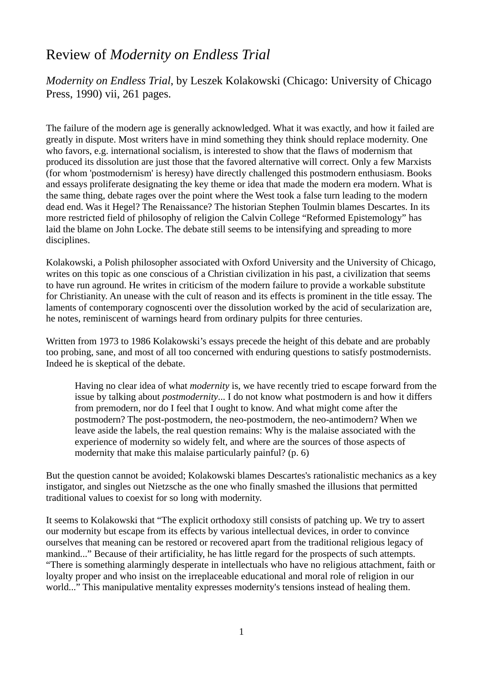## Review of *Modernity on Endless Trial*

*Modernity on Endless Trial*, by Leszek Kolakowski (Chicago: University of Chicago Press, 1990) vii, 261 pages.

The failure of the modern age is generally acknowledged. What it was exactly, and how it failed are greatly in dispute. Most writers have in mind something they think should replace modernity. One who favors, e.g. international socialism, is interested to show that the flaws of modernism that produced its dissolution are just those that the favored alternative will correct. Only a few Marxists (for whom 'postmodernism' is heresy) have directly challenged this postmodern enthusiasm. Books and essays proliferate designating the key theme or idea that made the modern era modern. What is the same thing, debate rages over the point where the West took a false turn leading to the modern dead end. Was it Hegel? The Renaissance? The historian Stephen Toulmin blames Descartes. In its more restricted field of philosophy of religion the Calvin College "Reformed Epistemology" has laid the blame on John Locke. The debate still seems to be intensifying and spreading to more disciplines.

Kolakowski, a Polish philosopher associated with Oxford University and the University of Chicago, writes on this topic as one conscious of a Christian civilization in his past, a civilization that seems to have run aground. He writes in criticism of the modern failure to provide a workable substitute for Christianity. An unease with the cult of reason and its effects is prominent in the title essay. The laments of contemporary cognoscenti over the dissolution worked by the acid of secularization are, he notes, reminiscent of warnings heard from ordinary pulpits for three centuries.

Written from 1973 to 1986 Kolakowski's essays precede the height of this debate and are probably too probing, sane, and most of all too concerned with enduring questions to satisfy postmodernists. Indeed he is skeptical of the debate.

Having no clear idea of what *modernity* is, we have recently tried to escape forward from the issue by talking about *postmodernity*... I do not know what postmodern is and how it differs from premodern, nor do I feel that I ought to know. And what might come after the postmodern? The post-postmodern, the neo-postmodern, the neo-antimodern? When we leave aside the labels, the real question remains: Why is the malaise associated with the experience of modernity so widely felt, and where are the sources of those aspects of modernity that make this malaise particularly painful? (p. 6)

But the question cannot be avoided; Kolakowski blames Descartes's rationalistic mechanics as a key instigator, and singles out Nietzsche as the one who finally smashed the illusions that permitted traditional values to coexist for so long with modernity.

It seems to Kolakowski that "The explicit orthodoxy still consists of patching up. We try to assert our modernity but escape from its effects by various intellectual devices, in order to convince ourselves that meaning can be restored or recovered apart from the traditional religious legacy of mankind..." Because of their artificiality, he has little regard for the prospects of such attempts. "There is something alarmingly desperate in intellectuals who have no religious attachment, faith or loyalty proper and who insist on the irreplaceable educational and moral role of religion in our world..." This manipulative mentality expresses modernity's tensions instead of healing them.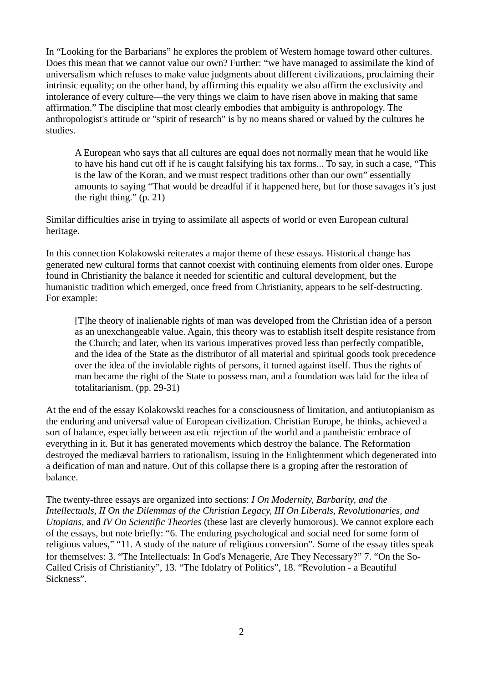In "Looking for the Barbarians" he explores the problem of Western homage toward other cultures. Does this mean that we cannot value our own? Further: "we have managed to assimilate the kind of universalism which refuses to make value judgments about different civilizations, proclaiming their intrinsic equality; on the other hand, by affirming this equality we also affirm the exclusivity and intolerance of every culture—the very things we claim to have risen above in making that same affirmation." The discipline that most clearly embodies that ambiguity is anthropology. The anthropologist's attitude or "spirit of research" is by no means shared or valued by the cultures he studies.

A European who says that all cultures are equal does not normally mean that he would like to have his hand cut off if he is caught falsifying his tax forms... To say, in such a case, "This is the law of the Koran, and we must respect traditions other than our own" essentially amounts to saying "That would be dreadful if it happened here, but for those savages it's just the right thing." (p. 21)

Similar difficulties arise in trying to assimilate all aspects of world or even European cultural heritage.

In this connection Kolakowski reiterates a major theme of these essays. Historical change has generated new cultural forms that cannot coexist with continuing elements from older ones. Europe found in Christianity the balance it needed for scientific and cultural development, but the humanistic tradition which emerged, once freed from Christianity, appears to be self-destructing. For example:

[T]he theory of inalienable rights of man was developed from the Christian idea of a person as an unexchangeable value. Again, this theory was to establish itself despite resistance from the Church; and later, when its various imperatives proved less than perfectly compatible, and the idea of the State as the distributor of all material and spiritual goods took precedence over the idea of the inviolable rights of persons, it turned against itself. Thus the rights of man became the right of the State to possess man, and a foundation was laid for the idea of totalitarianism. (pp. 29-31)

At the end of the essay Kolakowski reaches for a consciousness of limitation, and antiutopianism as the enduring and universal value of European civilization. Christian Europe, he thinks, achieved a sort of balance, especially between ascetic rejection of the world and a pantheistic embrace of everything in it. But it has generated movements which destroy the balance. The Reformation destroyed the mediæval barriers to rationalism, issuing in the Enlightenment which degenerated into a deification of man and nature. Out of this collapse there is a groping after the restoration of balance.

The twenty-three essays are organized into sections: *I On Modernity, Barbarity, and the Intellectuals, II On the Dilemmas of the Christian Legacy, III On Liberals, Revolutionaries, and Utopians*, and *IV On Scientific Theories* (these last are cleverly humorous). We cannot explore each of the essays, but note briefly: "6. The enduring psychological and social need for some form of religious values," "11. A study of the nature of religious conversion". Some of the essay titles speak for themselves: 3. "The Intellectuals: In God's Menagerie, Are They Necessary?" 7. "On the So-Called Crisis of Christianity", 13. "The Idolatry of Politics", 18. "Revolution - a Beautiful Sickness".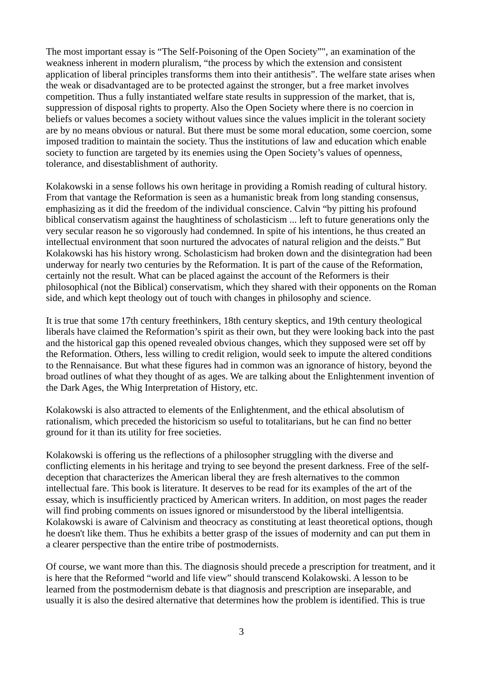The most important essay is "The Self-Poisoning of the Open Society"", an examination of the weakness inherent in modern pluralism, "the process by which the extension and consistent application of liberal principles transforms them into their antithesis". The welfare state arises when the weak or disadvantaged are to be protected against the stronger, but a free market involves competition. Thus a fully instantiated welfare state results in suppression of the market, that is, suppression of disposal rights to property. Also the Open Society where there is no coercion in beliefs or values becomes a society without values since the values implicit in the tolerant society are by no means obvious or natural. But there must be some moral education, some coercion, some imposed tradition to maintain the society. Thus the institutions of law and education which enable society to function are targeted by its enemies using the Open Society's values of openness, tolerance, and disestablishment of authority.

Kolakowski in a sense follows his own heritage in providing a Romish reading of cultural history. From that vantage the Reformation is seen as a humanistic break from long standing consensus, emphasizing as it did the freedom of the individual conscience. Calvin "by pitting his profound biblical conservatism against the haughtiness of scholasticism ... left to future generations only the very secular reason he so vigorously had condemned. In spite of his intentions, he thus created an intellectual environment that soon nurtured the advocates of natural religion and the deists." But Kolakowski has his history wrong. Scholasticism had broken down and the disintegration had been underway for nearly two centuries by the Reformation. It is part of the cause of the Reformation, certainly not the result. What can be placed against the account of the Reformers is their philosophical (not the Biblical) conservatism, which they shared with their opponents on the Roman side, and which kept theology out of touch with changes in philosophy and science.

It is true that some 17th century freethinkers, 18th century skeptics, and 19th century theological liberals have claimed the Reformation's spirit as their own, but they were looking back into the past and the historical gap this opened revealed obvious changes, which they supposed were set off by the Reformation. Others, less willing to credit religion, would seek to impute the altered conditions to the Rennaisance. But what these figures had in common was an ignorance of history, beyond the broad outlines of what they thought of as ages. We are talking about the Enlightenment invention of the Dark Ages, the Whig Interpretation of History, etc.

Kolakowski is also attracted to elements of the Enlightenment, and the ethical absolutism of rationalism, which preceded the historicism so useful to totalitarians, but he can find no better ground for it than its utility for free societies.

Kolakowski is offering us the reflections of a philosopher struggling with the diverse and conflicting elements in his heritage and trying to see beyond the present darkness. Free of the selfdeception that characterizes the American liberal they are fresh alternatives to the common intellectual fare. This book is literature. It deserves to be read for its examples of the art of the essay, which is insufficiently practiced by American writers. In addition, on most pages the reader will find probing comments on issues ignored or misunderstood by the liberal intelligentsia. Kolakowski is aware of Calvinism and theocracy as constituting at least theoretical options, though he doesn't like them. Thus he exhibits a better grasp of the issues of modernity and can put them in a clearer perspective than the entire tribe of postmodernists.

Of course, we want more than this. The diagnosis should precede a prescription for treatment, and it is here that the Reformed "world and life view" should transcend Kolakowski. A lesson to be learned from the postmodernism debate is that diagnosis and prescription are inseparable, and usually it is also the desired alternative that determines how the problem is identified. This is true